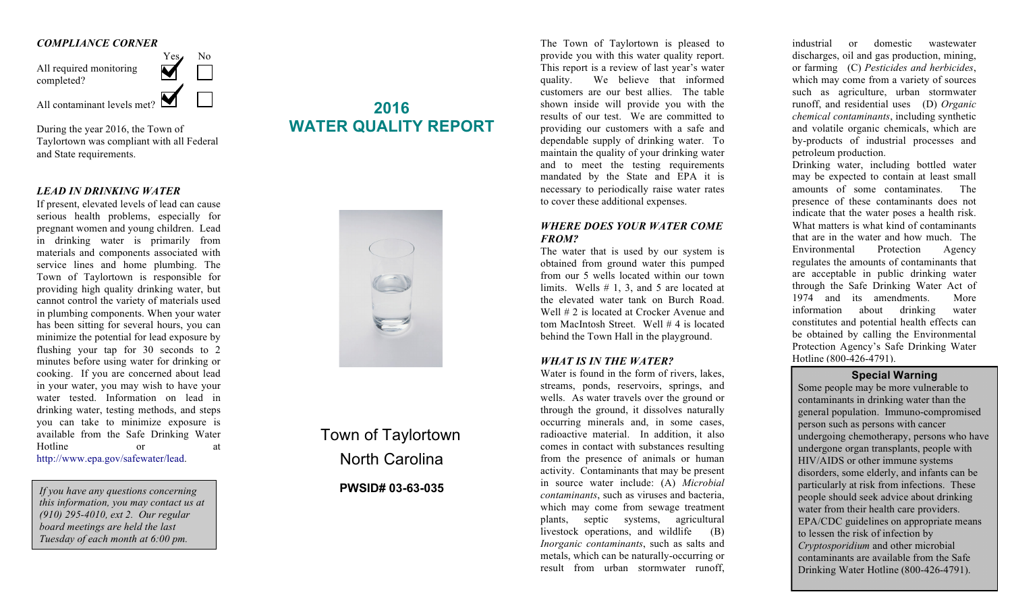#### *COMPLIANCE CORNER*



During the year 2016, the Town of Taylortown was compliant with all Federal and State requirements.

#### *LEAD IN DRINKING WATER*

If present, elevated levels of lead can cause serious health problems, especially for pregnant women and young children. Lead in drinking water is primarily from materials and components associated with service lines and home plumbing. The Town of Taylortown is responsible for providing high quality drinking water, but cannot control the variety of materials used in plumbing components. When your water has been sitting for several hours, you can minimize the potential for lead exposure by flushing your tap for 30 seconds to 2 minutes before using water for drinking or cooking. If you are concerned about lead in your water, you may wish to have your water tested. Information on lead in drinking water, testing methods, and steps you can take to minimize exposure is available from the Safe Drinking Water Hotline or at http://www.epa.gov/safewater/lead.

*If you have any questions concerning this information, you may contact us at (910) 295-4010, ext 2. Our regular board meetings are held the last Tuesday of each month at 6:00 pm.*

## **2016 WATER QUALITY REPORT**



Town of Taylortown North Carolina

### **PWSID# 03-63-035**

The Town of Taylortown is pleased to provide you with this water quality report. This report is a review of last year's water quality. We believe that informed customers are our best allies. The table shown inside will provide you with the results of our test. We are committed to providing our customers with a safe and dependable supply of drinking water. To maintain the quality of your drinking water and to meet the testing requirements mandated by the State and EPA it is necessary to periodically raise water rates to cover these additional expenses.

#### *WHERE DOES YOUR WATER COME FROM?*

The water that is used by our system is obtained from ground water this pumped from our 5 wells located within our town limits. Wells # 1, 3, and 5 are located at the elevated water tank on Burch Road. Well # 2 is located at Crocker Avenue and tom MacIntosh Street. Well # 4 is located behind the Town Hall in the playground.

#### *WHAT IS IN THE WATER?*

Water is found in the form of rivers, lakes, streams, ponds, reservoirs, springs, and wells. As water travels over the ground or through the ground, it dissolves naturally occurring minerals and, in some cases, radioactive material. In addition, it also comes in contact with substances resulting from the presence of animals or human activity. Contaminants that may be present in source water include: (A) *Microbial contaminants*, such as viruses and bacteria, which may come from sewage treatment plants, septic systems, agricultural livestock operations, and wildlife (B) *Inorganic contaminants*, such as salts and metals, which can be naturally-occurring or result from urban stormwater runoff,

industrial or domestic wastewater discharges, oil and gas production, mining, or farming (C) *Pesticides and herbicides*, which may come from a variety of sources such as agriculture, urban stormwater runoff, and residential uses (D) *Organic chemical contaminants*, including synthetic and volatile organic chemicals, which are by-products of industrial processes and petroleum production.

Drinking water, including bottled water may be expected to contain at least small amounts of some contaminates. The presence of these contaminants does not indicate that the water poses a health risk. What matters is what kind of contaminants that are in the water and how much. The Environmental Protection Agency regulates the amounts of contaminants that are acceptable in public drinking water through the Safe Drinking Water Act of 1974 and its amendments. More information about drinking water constitutes and potential health effects can be obtained by calling the Environmental Protection Agency's Safe Drinking Water Hotline (800-426-4791).

#### **Special Warning**

Some people may be more vulnerable to contaminants in drinking water than the general population. Immuno-compromised person such as persons with cancer undergoing chemotherapy, persons who have undergone organ transplants, people with HIV/AIDS or other immune systems disorders, some elderly, and infants can be particularly at risk from infections. These people should seek advice about drinking water from their health care providers. EPA/CDC guidelines on appropriate means to lessen the risk of infection by *Cryptosporidium* and other microbial contaminants are available from the Safe Drinking Water Hotline (800-426-4791).